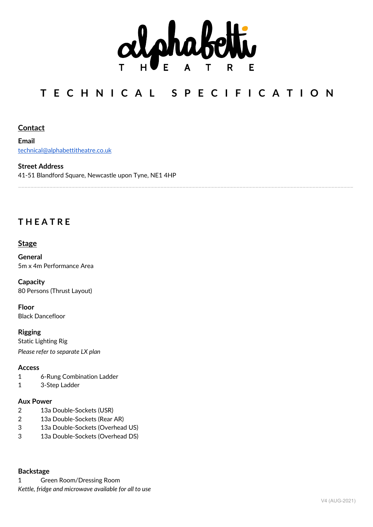

# **T E C H N I C A L S P E C I F I C A T I O N**

\_\_\_\_\_\_\_\_\_\_\_\_\_\_\_\_\_\_\_\_\_\_\_\_\_\_\_\_\_\_\_\_\_\_\_\_\_\_\_\_\_\_\_\_\_\_\_\_\_\_\_\_\_\_\_\_\_\_\_\_\_\_\_\_\_\_\_\_\_\_\_\_\_\_\_\_\_\_\_\_\_\_\_\_\_\_\_\_\_\_\_\_\_\_\_\_\_\_\_\_\_\_\_\_\_\_

# **Contact**

**Email** technical@alphabettitheatre.co.uk

#### **Street Address**

41-51 Blandford Square, Newcastle upon Tyne, NE1 4HP

# **T H E A T R E**

# **Stage**

**General** 5m x 4m Performance Area

**Capacity** 80 Persons (Thrust Layout)

**Floor** Black Dancefloor

**Rigging** Static Lighting Rig *Please refer to separate LX plan*

#### **Access**

- 1 6-Rung Combination Ladder
- 1 3-Step Ladder

## **Aux Power**

- 2 13a Double-Sockets (USR)
- 2 13a Double-Sockets (Rear AR)
- 3 13a Double-Sockets (Overhead US)
- 3 13a Double-Sockets (Overhead DS)

#### **Backstage**

1 Green Room/Dressing Room *Kettle, fridge and microwave available for all to use*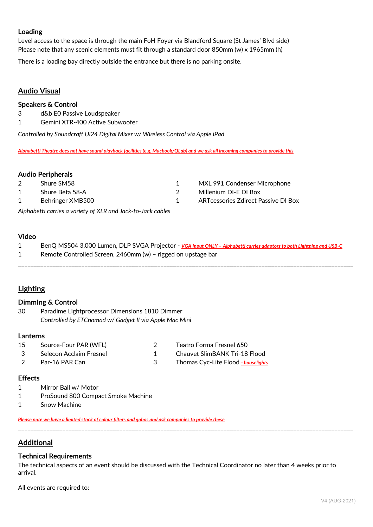### **Loading**

Level access to the space is through the main FoH Foyer via Blandford Square (St James' Blvd side) Please note that any scenic elements must fit through a standard door 850mm (w) x 1965mm (h)

There is a loading bay directly outside the entrance but there is no parking onsite.

# **Audio Visual**

#### **Speakers & Control**

- 3 d&b E0 Passive Loudspeaker
- 1 Gemini XTR-400 Active Subwoofer

*Controlled by Soundcraft Ui24 Digital Mixer w/ Wireless Control via Apple iPad*

*Alphabetti Theatre does not have sound playback facilities (e.g. Macbook/QLab) and we ask all incoming companies to provide this*

#### **Audio Peripherals**

- 
- 
- 
- 2 Shure SM58 1 MXL 991 Condenser Microphone
- 1 Shure Beta 58-A 2 Millenium DI-E DI Box
- 1 Behringer XMB500 1 ARTcessories Zdirect Passive DI Box

*Alphabetti carries a variety of XLR and Jack-to-Jack cables*

#### **Video**

| BenQ MS504 3,000 Lumen, DLP SVGA Projector - VGA Input ONLY - Alphabetti carries adaptors to both Lightning and USB-C |
|-----------------------------------------------------------------------------------------------------------------------|
| Remote Controlled Screen, 2460mm (w) - rigged on upstage bar                                                          |
|                                                                                                                       |

# **Lighting**

#### **DimmIng & Control**

30 Paradime Lightprocessor Dimensions 1810 Dimmer *Controlled by ETCnomad w/ Gadget II via Apple Mac Mini*

#### **Lanterns**

| 15           | Source-Four PAR (WFL)     |  |
|--------------|---------------------------|--|
| $\mathbf{R}$ | - Selecon Acclaim Fresnel |  |
|              | Par-16 PAR Can            |  |

2 Teatro Forma Fresnel 650

- 1 Chauvet SlimBANK Tri-18 Flood
- 3 Thomas Cyc-Lite Flood  *houselights*

#### **Effects**

- 1 Mirror Ball w/ Motor
- 1 ProSound 800 Compact Smoke Machine
- 1 Snow Machine

*Please note we have a limited stock of colour filters and gobos and ask companies to provide these*

# **Additional**

#### **Technical Requirements**

The technical aspects of an event should be discussed with the Technical Coordinator no later than 4 weeks prior to arrival.

\_\_\_\_\_\_\_\_\_\_\_\_\_\_\_\_\_\_\_\_\_\_\_\_\_\_\_\_\_\_\_\_\_\_\_\_\_\_\_\_\_\_\_\_\_\_\_\_\_\_\_\_\_\_\_\_\_\_\_\_\_\_\_\_\_\_\_\_\_\_\_\_\_\_\_\_\_\_\_\_\_\_\_\_\_\_\_\_\_\_\_\_\_\_\_\_\_\_\_\_\_\_\_\_\_\_

All events are required to: